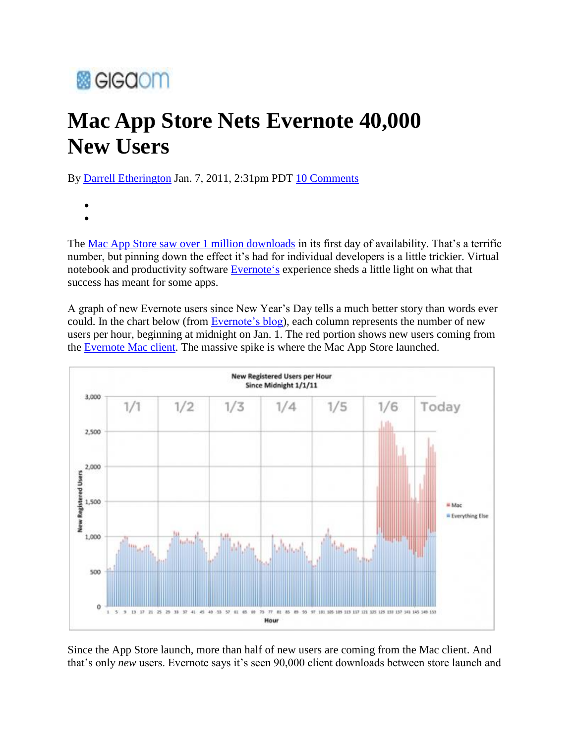## **露GIGCIOM**

## **Mac App Store Nets Evernote 40,000 New Users**

By Darrell Etherington Jan. 7, 2011, 2:31pm PDT 10 Comments

The Mac App Store saw over 1 million downloads in its first day of availability. That"s a terrific number, but pinning down the effect it's had for individual developers is a little trickier. Virtual notebook and productivity software Evernote's experience sheds a little light on what that success has meant for some apps.

A graph of new Evernote users since New Year"s Day tells a much better story than words ever could. In the chart below (from Evernote's blog), each column represents the number of new users per hour, beginning at midnight on Jan. 1. The red portion shows new users coming from the Evernote Mac client. The massive spike is where the Mac App Store launched.



Since the App Store launch, more than half of new users are coming from the Mac client. And that's only *new* users. Evernote says it's seen 90,000 client downloads between store launch and